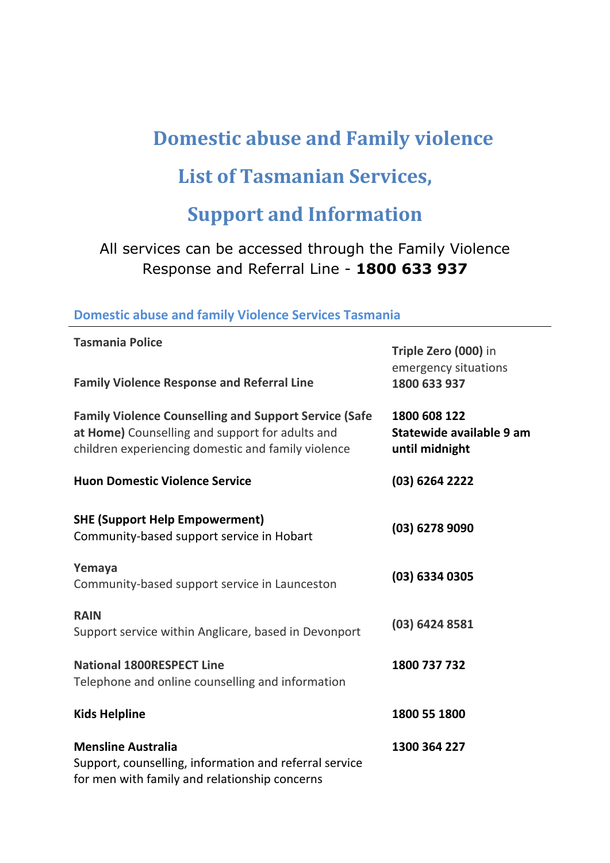# **Domestic abuse and Family violence**

### **List of Tasmanian Services,**

## **Support and Information**

### All services can be accessed through the Family Violence Response and Referral Line - **1800 633 937**

#### **Domestic abuse and family Violence Services Tasmania**

| <b>Tasmania Police</b>                                                                                                                                                | Triple Zero (000) in<br>emergency situations<br>1800 633 937 |
|-----------------------------------------------------------------------------------------------------------------------------------------------------------------------|--------------------------------------------------------------|
| <b>Family Violence Response and Referral Line</b>                                                                                                                     |                                                              |
| <b>Family Violence Counselling and Support Service (Safe</b><br>at Home) Counselling and support for adults and<br>children experiencing domestic and family violence | 1800 608 122<br>Statewide available 9 am<br>until midnight   |
| <b>Huon Domestic Violence Service</b>                                                                                                                                 | (03) 6264 2222                                               |
| <b>SHE (Support Help Empowerment)</b><br>Community-based support service in Hobart                                                                                    | (03) 6278 9090                                               |
| Yemaya<br>Community-based support service in Launceston                                                                                                               | (03) 6334 0305                                               |
| <b>RAIN</b><br>Support service within Anglicare, based in Devonport                                                                                                   | (03) 6424 8581                                               |
| <b>National 1800RESPECT Line</b><br>Telephone and online counselling and information                                                                                  | 1800 737 732                                                 |
| <b>Kids Helpline</b>                                                                                                                                                  | 1800 55 1800                                                 |
| <b>Mensline Australia</b><br>Support, counselling, information and referral service<br>for men with family and relationship concerns                                  | 1300 364 227                                                 |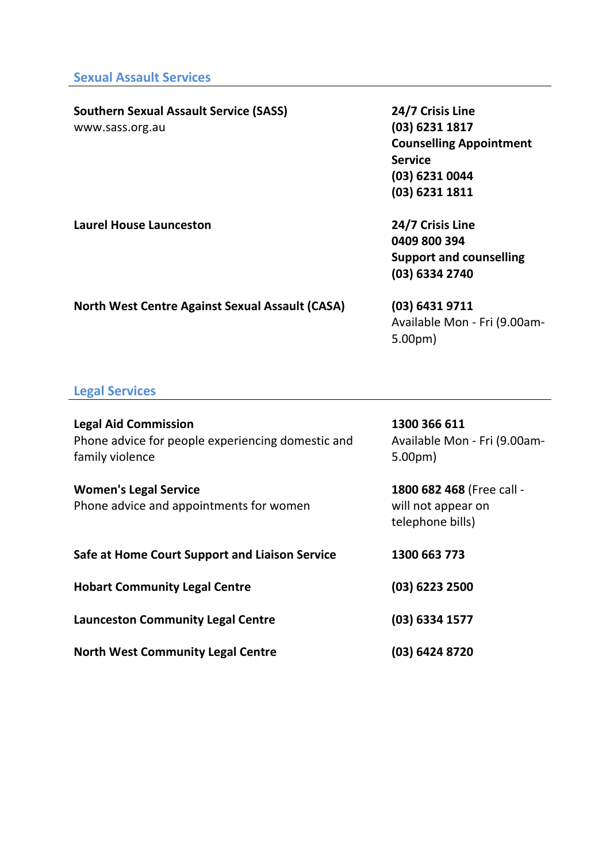## **Southern Sexual Assault Service (SASS)**

www.sass.org.au

**24/7 Crisis Line (03) 6231 1817 Counselling Appointment Service (03) 6231 0044 (03) 6231 1811**

**Laurel House Launceston 24/7 Crisis Line 0409 800 394 Support and counselling (03) 6334 2740**

**North West Centre Against Sexual Assault (CASA) (03) 6431 9711**

### Available Mon - Fri (9.00am-5.00pm)

#### **Legal Services**

| <b>Legal Aid Commission</b><br>Phone advice for people experiencing domestic and<br>family violence | 1300 366 611<br>Available Mon - Fri (9.00am-<br>5.00 <sub>pm</sub>  |
|-----------------------------------------------------------------------------------------------------|---------------------------------------------------------------------|
| <b>Women's Legal Service</b><br>Phone advice and appointments for women                             | 1800 682 468 (Free call -<br>will not appear on<br>telephone bills) |
| Safe at Home Court Support and Liaison Service                                                      | 1300 663 773                                                        |
| <b>Hobart Community Legal Centre</b>                                                                | (03) 6223 2500                                                      |
| <b>Launceston Community Legal Centre</b>                                                            | (03) 6334 1577                                                      |
| <b>North West Community Legal Centre</b>                                                            | (03) 6424 8720                                                      |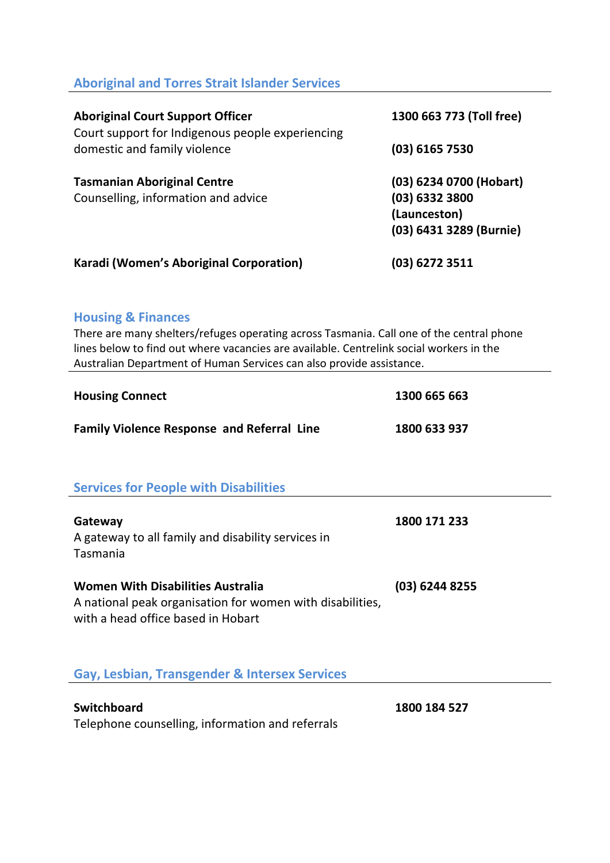#### **Aboriginal and Torres Strait Islander Services**

| <b>Aboriginal Court Support Officer</b><br>Court support for Indigenous people experiencing<br>domestic and family violence | 1300 663 773 (Toll free) |
|-----------------------------------------------------------------------------------------------------------------------------|--------------------------|
|                                                                                                                             | $(03)$ 6165 7530         |
| <b>Tasmanian Aboriginal Centre</b>                                                                                          | (03) 6234 0700 (Hobart)  |
| Counselling, information and advice                                                                                         | $(03)$ 6332 3800         |
|                                                                                                                             | (Launceston)             |
|                                                                                                                             | (03) 6431 3289 (Burnie)  |
| Karadi (Women's Aboriginal Corporation)                                                                                     | $(03)$ 6272 3511         |

#### **Housing & Finances**

There are many shelters/refuges operating across Tasmania. Call one of the central phone lines below to find out where vacancies are available. Centrelink social workers in the Australian Department of Human Services can also provide assistance.

| <b>Housing Connect</b>                                                                                                                      | 1300 665 663   |
|---------------------------------------------------------------------------------------------------------------------------------------------|----------------|
| <b>Family Violence Response and Referral Line</b>                                                                                           | 1800 633 937   |
| <b>Services for People with Disabilities</b>                                                                                                |                |
| Gateway<br>A gateway to all family and disability services in<br>Tasmania                                                                   | 1800 171 233   |
| <b>Women With Disabilities Australia</b><br>A national peak organisation for women with disabilities,<br>with a head office based in Hobart | (03) 6244 8255 |
| Gay, Lesbian, Transgender & Intersex Services                                                                                               |                |
| <b>Switchboard</b><br>Telephone counselling, information and referrals                                                                      | 1800 184 527   |